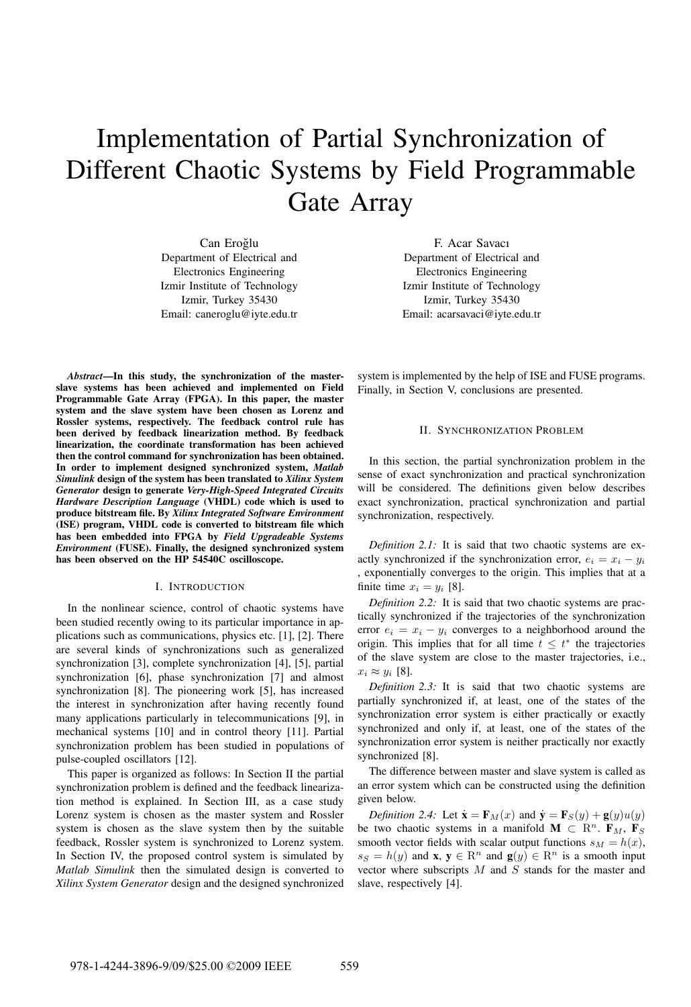# Implementation of Partial Synchronization of Different Chaotic Systems by Field Programmable Gate Array

Can Eroğlu Department of Electrical and Electronics Engineering Izmir Institute of Technology Izmir, Turkey 35430 Email: caneroglu@iyte.edu.tr

*Abstract***—In this study, the synchronization of the masterslave systems has been achieved and implemented on Field Programmable Gate Array (FPGA). In this paper, the master system and the slave system have been chosen as Lorenz and Rossler systems, respectively. The feedback control rule has been derived by feedback linearization method. By feedback linearization, the coordinate transformation has been achieved then the control command for synchronization has been obtained. In order to implement designed synchronized system,** *Matlab Simulink* **design of the system has been translated to** *Xilinx System Generator* **design to generate** *Very-High-Speed Integrated Circuits Hardware Description Language* **(VHDL) code which is used to produce bitstream file. By** *Xilinx Integrated Software Environment* **(ISE) program, VHDL code is converted to bitstream file which has been embedded into FPGA by** *Field Upgradeable Systems Environment* **(FUSE). Finally, the designed synchronized system has been observed on the HP 54540C oscilloscope.**

#### I. INTRODUCTION

In the nonlinear science, control of chaotic systems have been studied recently owing to its particular importance in applications such as communications, physics etc. [1], [2]. There are several kinds of synchronizations such as generalized synchronization [3], complete synchronization [4], [5], partial synchronization [6], phase synchronization [7] and almost synchronization [8]. The pioneering work [5], has increased the interest in synchronization after having recently found many applications particularly in telecommunications [9], in mechanical systems [10] and in control theory [11]. Partial synchronization problem has been studied in populations of pulse-coupled oscillators [12].

This paper is organized as follows: In Section II the partial synchronization problem is defined and the feedback linearization method is explained. In Section III, as a case study Lorenz system is chosen as the master system and Rossler system is chosen as the slave system then by the suitable feedback, Rossler system is synchronized to Lorenz system. In Section IV, the proposed control system is simulated by *Matlab Simulink* then the simulated design is converted to *Xilinx System Generator* design and the designed synchronized

F. Acar Savacı Department of Electrical and Electronics Engineering Izmir Institute of Technology Izmir, Turkey 35430 Email: acarsavaci@iyte.edu.tr

system is implemented by the help of ISE and FUSE programs. Finally, in Section V, conclusions are presented.

### II. SYNCHRONIZATION PROBLEM

In this section, the partial synchronization problem in the sense of exact synchronization and practical synchronization will be considered. The definitions given below describes exact synchronization, practical synchronization and partial synchronization, respectively.

*Definition 2.1:* It is said that two chaotic systems are exactly synchronized if the synchronization error,  $e_i = x_i - y_i$ , exponentially converges to the origin. This implies that at a finite time  $x_i = y_i$  [8].

*Definition 2.2:* It is said that two chaotic systems are practically synchronized if the trajectories of the synchronization error  $e_i = x_i - y_i$  converges to a neighborhood around the origin. This implies that for all time  $t \leq t^*$  the trajectories of the slave system are close to the master trajectories, i.e.,  $x_i \approx y_i$  [8].

*Definition 2.3:* It is said that two chaotic systems are partially synchronized if, at least, one of the states of the synchronization error system is either practically or exactly synchronized and only if, at least, one of the states of the synchronization error system is neither practically nor exactly synchronized [8].

The difference between master and slave system is called as an error system which can be constructed using the definition given below.

*Definition 2.4:* Let  $\dot{\mathbf{x}} = \mathbf{F}_M(x)$  and  $\dot{\mathbf{y}} = \mathbf{F}_S(y) + \mathbf{g}(y)u(y)$ be two chaotic systems in a manifold **M**  $\subset$  R<sup>n</sup>. **F**<sub>M</sub>, **F**<sub>S</sub> smooth vector fields with scalar output functions  $s_M = h(x)$ ,  $s_S = h(y)$  and **x**,  $y \in \mathbb{R}^n$  and  $g(y) \in \mathbb{R}^n$  is a smooth input vector where subscripts  $M$  and  $S$  stands for the master and slave, respectively [4].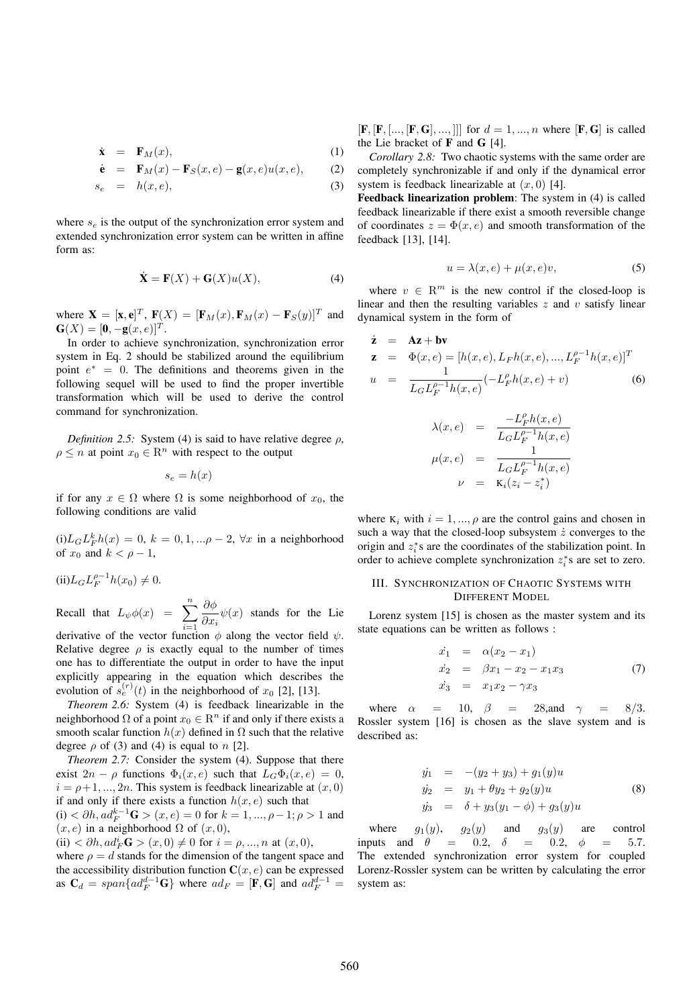$$
\dot{\mathbf{x}} = \mathbf{F}_M(x), \tag{1}
$$

$$
\dot{\mathbf{e}} = \mathbf{F}_M(x) - \mathbf{F}_S(x, e) - \mathbf{g}(x, e)u(x, e), \quad (2)
$$

$$
s_e = h(x, e), \tag{3}
$$

where  $s_e$  is the output of the synchronization error system and extended synchronization error system can be written in affine form as:

$$
\dot{\mathbf{X}} = \mathbf{F}(X) + \mathbf{G}(X)u(X),\tag{4}
$$

where  $\mathbf{X} = [\mathbf{x}, \mathbf{e}]^T$ ,  $\mathbf{F}(X) = [\mathbf{F}_M(x), \mathbf{F}_M(x) - \mathbf{F}_S(y)]^T$  and  $G(X)=[0, -g(x, e)]^T$ .

In order to achieve synchronization, synchronization error system in Eq. 2 should be stabilized around the equilibrium point  $e^* = 0$ . The definitions and theorems given in the following sequel will be used to find the proper invertible transformation which will be used to derive the control command for synchronization.

*Definition 2.5:* System (4) is said to have relative degree  $\rho$ ,  $\rho \leq n$  at point  $x_0 \in \mathbb{R}^n$  with respect to the output

$$
s_e = h(x)
$$

if for any  $x \in \Omega$  where  $\Omega$  is some neighborhood of  $x_0$ , the following conditions are valid

 $(i)L_G L_F^k h(x) = 0, k = 0, 1, \ldots \rho - 2, \forall x$  in a neighborhood of  $x_0$  and  $k < \rho - 1$ ,

$$
(ii)L_G L_F^{\rho-1} h(x_0) \neq 0.
$$

Recall that  $L_{\psi}\phi(x) = \sum$ n  $i=1$  $\partial \phi$  $\frac{\partial \varphi}{\partial x_i} \psi(x)$  stands for the Lie derivative of the vector function  $\phi$  along the vector field  $\psi$ . Relative degree  $\rho$  is exactly equal to the number of times one has to differentiate the output in order to have the input explicitly appearing in the equation which describes the evolution of  $s_e^{(r)}(t)$  in the neighborhood of  $x_0$  [2], [13].

*Theorem 2.6:* System (4) is feedback linearizable in the neighborhood  $\Omega$  of a point  $x_0 \in \mathbb{R}^n$  if and only if there exists a smooth scalar function  $h(x)$  defined in  $\Omega$  such that the relative degree  $\rho$  of (3) and (4) is equal to  $n$  [2].

*Theorem 2.7:* Consider the system (4). Suppose that there exist  $2n - \rho$  functions  $\Phi_i(x, e)$  such that  $L_G \Phi_i(x, e) = 0$ ,  $i = \rho + 1, \ldots, 2n$ . This system is feedback linearizable at  $(x, 0)$ if and only if there exists a function  $h(x, e)$  such that (i)  $\langle \partial h, ad_F^{k-1} \mathbf{G} \rangle (x, e) = 0$  for  $k = 1, ..., \rho-1; \rho > 1$  and  $(x, e)$  in a neighborhood  $\Omega$  of  $(x, 0)$ ,

(ii) 
$$
\langle \partial h, ad_F^i \mathbf{G} \rangle (x,0) \neq 0
$$
 for  $i = \rho, ..., n$  at  $(x,0)$ ,

where  $\rho = d$  stands for the dimension of the tangent space and the accessibility distribution function  $C(x, e)$  can be expressed as  $C_d = span\{ad_F^{d-1}G\}$  where  $ad_F = [\mathbf{F}, \mathbf{G}]$  and  $ad_F^{d-1} =$ 

 $[$ **F**,  $[$ **F**,  $[$ ...,  $[$ **F**, **G** $]$ , ...,  $]$  $]$ ] for  $d = 1, ..., n$  where  $[$ **F**, **G** $]$  is called the Lie bracket of **F** and **G** [4].

*Corollary 2.8:* Two chaotic systems with the same order are completely synchronizable if and only if the dynamical error system is feedback linearizable at  $(x, 0)$  [4].

**Feedback linearization problem**: The system in (4) is called feedback linearizable if there exist a smooth reversible change of coordinates  $z = \Phi(x, e)$  and smooth transformation of the feedback [13], [14].

$$
u = \lambda(x, e) + \mu(x, e)v,\tag{5}
$$

where  $v \in \mathbb{R}^m$  is the new control if the closed-loop is linear and then the resulting variables  $z$  and  $v$  satisfy linear dynamical system in the form of

$$
\dot{z} = Az + bv \nz = \Phi(x, e) = [h(x, e), L_F h(x, e), ..., L_F^{\rho-1} h(x, e)]^T \nu = \frac{1}{L_G L_F^{\rho-1} h(x, e)} (-L_F^{\rho} h(x, e) + v)
$$
\n(6)

$$
\lambda(x, e) = \frac{-L_F^{\rho} h(x, e)}{L_G L_F^{\rho-1} h(x, e)}
$$

$$
\mu(x, e) = \frac{1}{L_G L_F^{\rho-1} h(x, e)}
$$

$$
\nu = \mathbf{K}_i (z_i - z_i^*)
$$

where  $K_i$  with  $i = 1, ..., \rho$  are the control gains and chosen in such a way that the closed-loop subsystem  $\dot{z}$  converges to the origin and  $z_i^*$ s are the coordinates of the stabilization point. In order to achieve complete synchronization  $z_i^*$ s are set to zero.

# III. SYNCHRONIZATION OF CHAOTIC SYSTEMS WITH DIFFERENT MODEL

Lorenz system [15] is chosen as the master system and its state equations can be written as follows :

$$
\begin{array}{rcl}\n\dot{x}_1 &=& \alpha(x_2 - x_1) \\
\dot{x}_2 &=& \beta x_1 - x_2 - x_1 x_3 \\
\dot{x}_3 &=& x_1 x_2 - \gamma x_3\n\end{array} \tag{7}
$$

where  $\alpha = 10$ ,  $\beta = 28$ , and  $\gamma = 8/3$ . Rossler system [16] is chosen as the slave system and is described as:

$$
y'_1 = -(y_2 + y_3) + g_1(y)u
$$
  
\n
$$
y'_2 = y_1 + \theta y_2 + g_2(y)u
$$
  
\n
$$
y'_3 = \delta + y_3(y_1 - \phi) + g_3(y)u
$$
\n(8)

where  $g_1(y)$ ,  $g_2(y)$  and  $g_3(y)$  are control inputs and  $\theta = 0.2$ ,  $\delta = 0.2$ ,  $\phi = 5.7$ . The extended synchronization error system for coupled Lorenz-Rossler system can be written by calculating the error system as: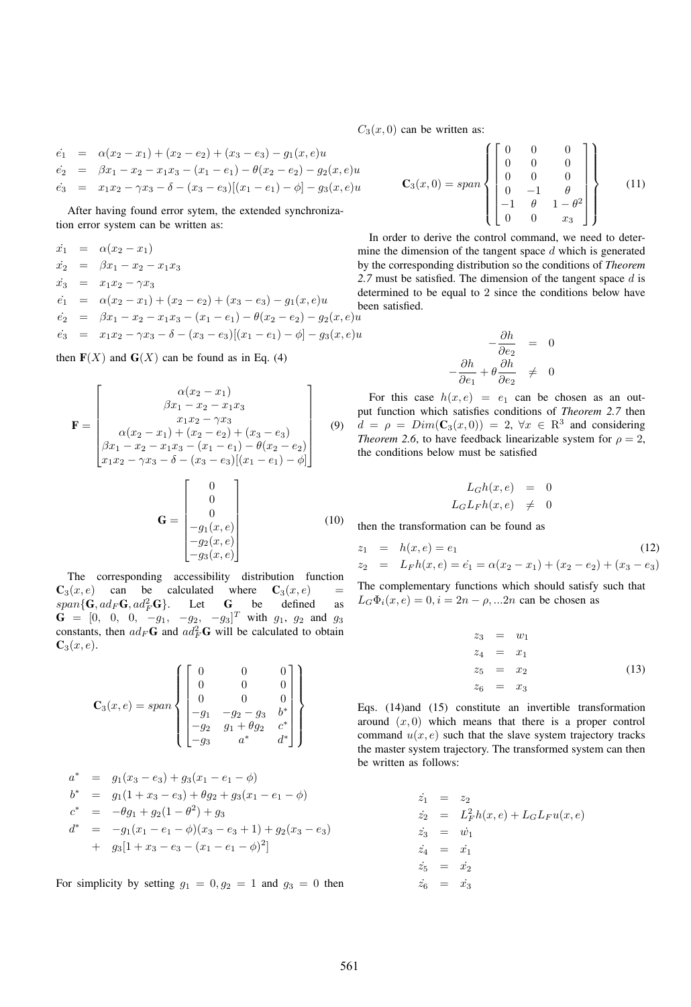$C_3(x, 0)$  can be written as:

$$
\begin{array}{rcl}\n\dot{e}_1 & = & \alpha(x_2 - x_1) + (x_2 - e_2) + (x_3 - e_3) - g_1(x, e)u \\
\dot{e}_2 & = & \beta x_1 - x_2 - x_1 x_3 - (x_1 - e_1) - \theta(x_2 - e_2) - g_2(x, e)u \\
\dot{e}_3 & = & x_1 x_2 - \gamma x_3 - \delta - (x_3 - e_3)[(x_1 - e_1) - \phi] - g_3(x, e)u\n\end{array}
$$

After having found error sytem, the extended synchronization error system can be written as:

$$
\begin{array}{rcl}\n\dot{x}_1 & = & \alpha(x_2 - x_1) & \text{if } \\
\dot{x}_2 & = & \beta x_1 - x_2 - x_1 x_3 & \text{if } \\
\dot{x}_3 & = & x_1 x_2 - \gamma x_3 & \text{if } \\
\dot{e}_1 & = & \alpha(x_2 - x_1) + (x_2 - e_2) + (x_3 - e_3) - g_1(x, e)u & \text{if } \\
\dot{e}_2 & = & \beta x_1 - x_2 - x_1 x_3 - (x_1 - e_1) - \theta(x_2 - e_2) - g_2(x, e)u \\
\dot{e}_3 & = & x_1 x_2 - \gamma x_3 - \delta - (x_3 - e_3)[(x_1 - e_1) - \phi] - g_3(x, e)u\n\end{array}
$$

then  $F(X)$  and  $G(X)$  can be found as in Eq. (4)

$$
\mathbf{F} = \begin{bmatrix} \alpha(x_2 - x_1) \\ \beta x_1 - x_2 - x_1 x_3 \\ x_1 x_2 - \gamma x_3 \\ \beta x_1 - x_2 - x_1 x_3 - (x_1 - e_1) - \theta(x_2 - e_2) \\ x_1 x_2 - \gamma x_3 - \delta - (x_3 - e_3)[(x_1 - e_1) - \phi] \end{bmatrix}
$$
(9)  

$$
\mathbf{G} = \begin{bmatrix} 0 \\ 0 \\ -g_1(x, e) \\ -g_2(x, e) \\ -g_3(x, e) \end{bmatrix}
$$
(10)

The corresponding accessibility distribution function  $C_3(x, e)$  can be calculated where  $C_3(x, e)$  =  $span{\{\mathbf{G}, ad_F\mathbf{G}, ad_F^2\mathbf{G}\}}.$ Let **G** be defined as  $\mathbf{G} = [0, 0, 0, -g_1, -g_2, -g_3]^T$  with  $g_1, g_2$  and  $g_3$ constants, then  $ad_F G$  and  $ad_F^2 G$  will be calculated to obtain  $C_3(x, e)$ .

$$
\mathbf{C}_3(x, e) = span \begin{Bmatrix} 0 & 0 & 0 \\ 0 & 0 & 0 \\ 0 & 0 & 0 \\ -g_1 & -g_2 - g_3 & b^* \\ -g_2 & g_1 + \theta g_2 & c^* \\ -g_3 & a^* & d^* \end{Bmatrix}
$$

$$
a^* = g_1(x_3 - e_3) + g_3(x_1 - e_1 - \phi)
$$
  
\n
$$
b^* = g_1(1 + x_3 - e_3) + \theta g_2 + g_3(x_1 - e_1 - \phi)
$$
  
\n
$$
c^* = -\theta g_1 + g_2(1 - \theta^2) + g_3
$$
  
\n
$$
d^* = -g_1(x_1 - e_1 - \phi)(x_3 - e_3 + 1) + g_2(x_3 - e_3)
$$
  
\n
$$
+ g_3[1 + x_3 - e_3 - (x_1 - e_1 - \phi)^2]
$$

For simplicity by setting  $g_1 = 0, g_2 = 1$  and  $g_3 = 0$  then

$$
\mathbf{C}_3(x,0) = span \begin{Bmatrix} \begin{bmatrix} 0 & 0 & 0 \\ 0 & 0 & 0 \\ 0 & 0 & 0 \\ 0 & -1 & \theta \\ -1 & \theta & 1 - \theta^2 \\ 0 & 0 & x_3 \end{bmatrix} \end{Bmatrix}
$$
 (11)

In order to derive the control command, we need to determine the dimension of the tangent space  $d$  which is generated by the corresponding distribution so the conditions of *Theorem* 2.7 must be satisfied. The dimension of the tangent space d is determined to be equal to 2 since the conditions below have been satisfied.

$$
-\frac{\partial h}{\partial e_2} = 0
$$
  

$$
-\frac{\partial h}{\partial e_1} + \theta \frac{\partial h}{\partial e_2} \neq 0
$$

For this case  $h(x, e) = e_1$  can be chosen as an output function which satisfies conditions of *Theorem 2.7* then  $d = \rho = Dim(\mathbf{C}_3(x, 0)) = 2, \forall x \in \mathbb{R}^3$  and considering *Theorem 2.6*, to have feedback linearizable system for  $\rho = 2$ , the conditions below must be satisfied

$$
L_G h(x, e) = 0
$$
  

$$
L_G L_F h(x, e) \neq 0
$$

then the transformation can be found as

$$
z_1 = h(x, e) = e_1
$$
  
\n
$$
z_2 = L_F h(x, e) = \dot{e}_1 = \alpha (x_2 - x_1) + (x_2 - e_2) + (x_3 - e_3)
$$
\n(12)

The complementary functions which should satisfy such that  $L_G\Phi_i(x, e) = 0, i = 2n - \rho, ... 2n$  can be chosen as

$$
z_3 = w_1 \n z_4 = x_1 \n z_5 = x_2 \n z_6 = x_3
$$
\n(13)

Eqs. (14)and (15) constitute an invertible transformation around  $(x, 0)$  which means that there is a proper control command  $u(x, e)$  such that the slave system trajectory tracks the master system trajectory. The transformed system can then be written as follows:

$$
\begin{array}{rcl}\n\dot{z}_1 &=& z_2\\ \n\dot{z}_2 &=& L_F^2 h(x, e) + L_G L_F u(x, e)\\ \n\dot{z}_3 &=& \dot{w}_1\\ \n\dot{z}_4 &=& \dot{x}_1\\ \n\dot{z}_5 &=& \dot{x}_2\\ \n\dot{z}_6 &=& \dot{x}_3\n\end{array}
$$